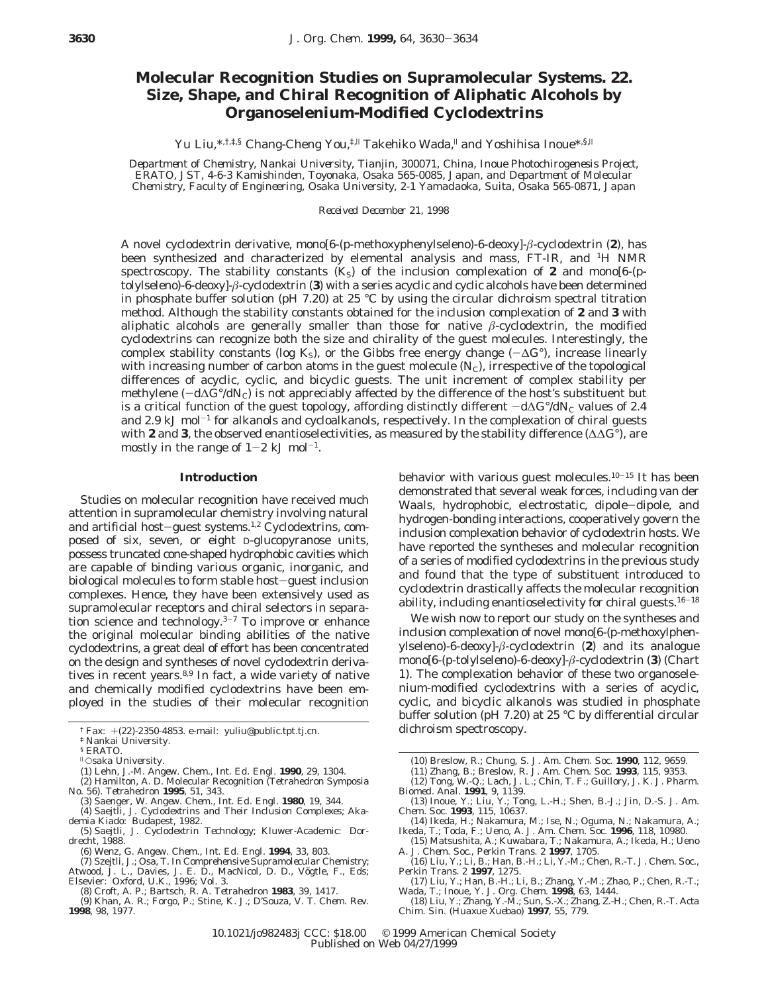## **Molecular Recognition Studies on Supramolecular Systems. 22. Size, Shape, and Chiral Recognition of Aliphatic Alcohols by Organoselenium-Modified Cyclodextrins**

Yu Liu,\*,t, ‡,§ Chang-Cheng You, ‡,|| Takehiko Wada,<sup>||</sup> and Yoshihisa Inoue\*,§,||

*Department of Chemistry, Nankai University, Tianjin, 300071, China, Inoue Photochirogenesis Project, ERATO, JST, 4-6-3 Kamishinden, Toyonaka, Osaka 565-0085, Japan, and Department of Molecular Chemistry, Faculty of Engineering, Osaka University, 2-1 Yamadaoka, Suita, Osaka 565-0871, Japan*

*Received December 21, 1998*

A novel cyclodextrin derivative, mono[6-(*p*-methoxyphenylseleno)-6-deoxy]-*â*-cyclodextrin (**2**), has been synthesized and characterized by elemental analysis and mass, FT-IR, and 1H NMR spectroscopy. The stability constants  $(K<sub>S</sub>)$  of the inclusion complexation of **2** and mono[6-(*p*tolylseleno)-6-deoxy]-*â*-cyclodextrin (**3**) with a series acyclic and cyclic alcohols have been determined in phosphate buffer solution (pH 7.20) at 25 °C by using the circular dichroism spectral titration method. Although the stability constants obtained for the inclusion complexation of **2** and **3** with aliphatic alcohols are generally smaller than those for native  $\beta$ -cyclodextrin, the modified cyclodextrins can recognize both the size and chirality of the guest molecules. Interestingly, the complex stability constants (log  $K_S$ ), or the Gibbs free energy change ( $\neg \Delta G^{\circ}$ ), increase linearly with increasing number of carbon atoms in the guest molecule  $(N<sub>C</sub>)$ , irrespective of the topological differences of acyclic, cyclic, and bicyclic guests. The unit increment of complex stability per methylene (-d∆*G*°/d*N*C) is not appreciably affected by the difference of the host's substituent but is a critical function of the guest topology, affording distinctly different  $-\text{d}\Delta G^{\circ}/\text{d}N_c$  values of 2.4 and 2.9 kJ mol<sup>-1</sup> for alkanols and cycloalkanols, respectively. In the complexation of chiral guests with **2** and **3**, the observed enantioselectivities, as measured by the stability difference (∆∆*G*°), are mostly in the range of  $1-2$  kJ mol<sup>-1</sup>.

## **Introduction**

Studies on molecular recognition have received much attention in supramolecular chemistry involving natural and artificial host-guest systems.<sup>1,2</sup> Cyclodextrins, composed of six, seven, or eight D-glucopyranose units, possess truncated cone-shaped hydrophobic cavities which are capable of binding various organic, inorganic, and biological molecules to form stable host-guest inclusion complexes. Hence, they have been extensively used as supramolecular receptors and chiral selectors in separation science and technology. $3-7$  To improve or enhance the original molecular binding abilities of the native cyclodextrins, a great deal of effort has been concentrated on the design and syntheses of novel cyclodextrin derivatives in recent years.<sup>8,9</sup> In fact, a wide variety of native and chemically modified cyclodextrins have been employed in the studies of their molecular recognition

(10) Breslow, R.; Chung, S. *J. Am. Chem. Soc.* **1990**, *112*, 9659.

behavior with various guest molecules. $10-15$  It has been demonstrated that several weak forces, including van der Waals, hydrophobic, electrostatic, dipole-dipole, and hydrogen-bonding interactions, cooperatively govern the inclusion complexation behavior of cyclodextrin hosts. We have reported the syntheses and molecular recognition of a series of modified cyclodextrins in the previous study and found that the type of substituent introduced to cyclodextrin drastically affects the molecular recognition ability, including enantioselectivity for chiral guests. $16-18$ We wish now to report our study on the syntheses and inclusion complexation of novel mono[6-(*p*-methoxylphenylseleno)-6-deoxy]-*â*-cyclodextrin (**2**) and its analogue mono[6-(*p*-tolylseleno)-6-deoxy]-*â*-cyclodextrin (**3**) (Chart 1). The complexation behavior of these two organoselenium-modified cyclodextrins with a series of acyclic, cyclic, and bicyclic alkanols was studied in phosphate buffer solution (pH 7.20) at 25 °C by differential circular

- (13) Inoue, Y.; Liu, Y.; Tong, L.-H.; Shen, B.-J.; Jin, D.-S. *J. Am. Chem. Soc.* **1993**, *115*, 10637.
- (14) Ikeda, H.; Nakamura, M.; Ise, N.; Oguma, N.; Nakamura, A.; Ikeda, T.; Toda, F.; Ueno, A. *J. Am. Chem. Soc.* 1996, 118, 10980.<br>(15) Matsushita, A.; Kuwabara, T.; Nakamura, A.; Ikeda, H.; Ueno<br>A. *J. Chem. Soc., Perkin*
- 
- (16) Liu, Y.; Li, B.; Han, B.-H.; Li, Y.-M.; Chen, R.-T. *J. Chem. Soc., Perkin Trans. 2* **1997**, 1275.
- (17) Liu, Y.; Han, B.-H.; Li, B.; Zhang, Y.-M.; Zhao, P.; Chen, R.-T.; Wada, T.; Inoue, Y. *J. Org. Chem.* **1998**, *63*, 1444. (18) Liu, Y.; Zhang, Y.-M.; Sun, S.-X.; Zhang, Z.-H.; Chen, R.-T. *Acta*
- *Chim. Sin. (Huaxue Xuebao)* **1997**, *55*, 779.

<sup>†</sup> Fax: <sup>+</sup>(22)-2350-4853. e-mail: yuliu@public.tpt.tj.cn. dichroism spectroscopy. ‡ Nankai University.

<sup>§</sup> ERATO.

<sup>|</sup> Osaka University.

<sup>(1)</sup> Lehn, J.-M. *Angew. Chem., Int. Ed. Engl.* **1990**, *29*, 1304. (2) Hamilton, A. D. Molecular Recognition (Tetrahedron Symposia

No. 56). *Tetrahedron* **1995**, *51*, 343.

<sup>(3)</sup> Saenger, W. *Angew. Chem., Int. Ed. Engl.* **1980**, *19*, 344. (4) Saejtli, J. *Cyclodextrins and Their Inclusion Complexes*; Akademia Kiado: Budapest, 1982.

<sup>(5)</sup> Saejtli, J. *Cyclodextrin Technology*; Kluwer-Academic: Dordrecht, 1988.

<sup>(6)</sup> Wenz, G. *Angew. Chem., Int. Ed. Engl.* **1994**, *33*, 803.

<sup>(7)</sup> Szejtli, J.; Osa, T. In *Comprehensive Supramolecular Chemistry*;<br>Atwood, J. L., Davies, J. E. D., MacNicol, D. D., Vögtle, F., Eds;

Elsevier: Oxford, U.K., 1996; Vol. 3. (8) Croft, A. P.; Bartsch, R. A. *Tetrahedron* **1983**, *39*, 1417.

<sup>(9)</sup> Khan, A. R.; Forgo, P.; Stine, K. J.; D'Souza, V. T. *Chem. Rev.*

**<sup>1998</sup>**, *98*, 1977.

<sup>(11)</sup> Zhang, B.; Breslow, R. *J. Am. Chem. Soc.* **1993**, *115*, 9353. (12) Tong, W.-Q.; Lach, J. L.; Chin, T. F.; Guillory, J. K. *J. Pharm.*

*Biomed. Anal.* **1991**, *9*, 1139.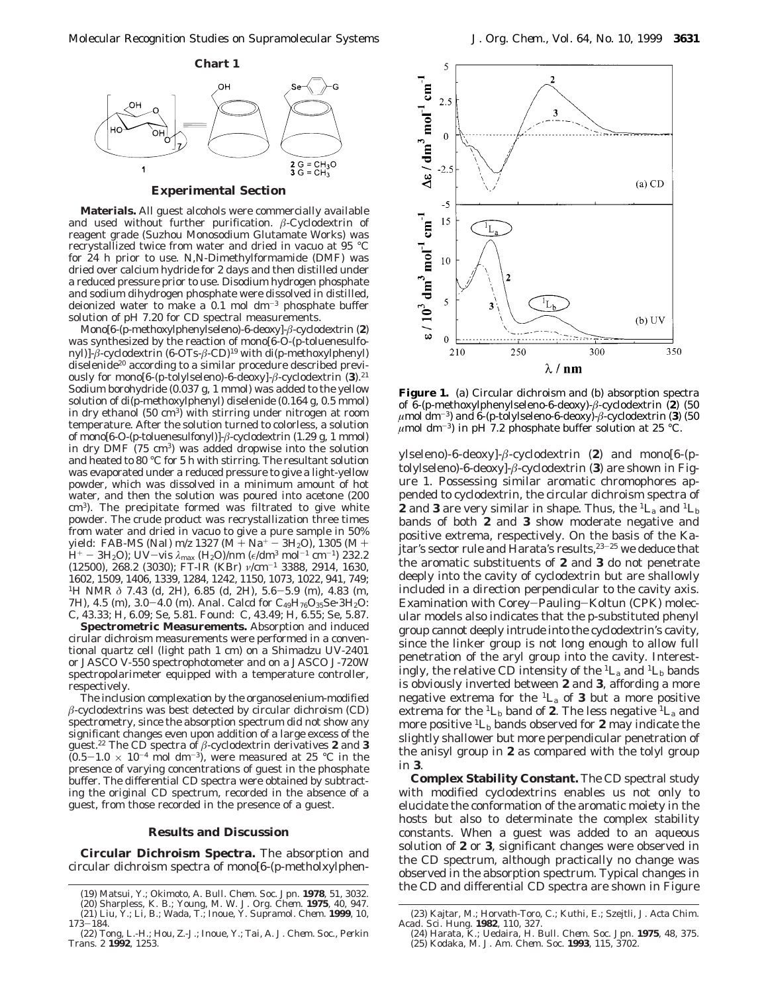

## **Experimental Section**

**Materials.** All guest alcohols were commercially available and used without further purification. *â*-Cyclodextrin of reagent grade (Suzhou Monosodium Glutamate Works) was recrystallized twice from water and dried in vacuo at 95 °C for 24 h prior to use. *N*,*N*-Dimethylformamide (DMF) was dried over calcium hydride for 2 days and then distilled under a reduced pressure prior to use. Disodium hydrogen phosphate and sodium dihydrogen phosphate were dissolved in distilled, deionized water to make a  $0.1$  mol dm<sup>-3</sup> phosphate buffer solution of pH 7.20 for CD spectral measurements.

Mono[6-(*p*-methoxylphenylseleno)-6-deoxy]-*â*-cyclodextrin (**2**) was synthesized by the reaction of mono[6-*O*-(*p*-toluenesulfonyl)]-*â*-cyclodextrin (6-OTs-*â*-CD)19 with di(*p*-methoxylphenyl) diselenide<sup>20</sup> according to a similar procedure described previously for mono[6-(*p*-tolylseleno)-6-deoxy]-*â*-cyclodextrin (**3**).21 Sodium borohydride (0.037 g, 1 mmol) was added to the yellow solution of di(*p*-methoxylphenyl) diselenide (0.164 g, 0.5 mmol) in dry ethanol (50 cm<sup>3</sup>) with stirring under nitrogen at room temperature. After the solution turned to colorless, a solution of mono[6-*O*-(*p*-toluenesulfonyl)]-*â*-cyclodextrin (1.29 g, 1 mmol) in dry DMF (75 cm3) was added dropwise into the solution and heated to 80 °C for 5 h with stirring. The resultant solution was evaporated under a reduced pressure to give a light-yellow powder, which was dissolved in a minimum amount of hot water, and then the solution was poured into acetone (200 cm3). The precipitate formed was filtrated to give white powder. The crude product was recrystallization three times from water and dried in vacuo to give a pure sample in 50% yield: FAB-MS (NaI)  $m/z$  1327 (M + Na<sup>+</sup> - 3H<sub>2</sub>O), 1305 (M + H<sup>+</sup> - 3H<sub>2</sub>O); UV-vis λ<sub>max</sub> (H<sub>2</sub>O)/nm (ε/dm<sup>3</sup> mol<sup>-1</sup> cm<sup>-1</sup>) 232.2<br>(12500), 268.2 (3030); FT-IR (KBr) *ν/*cm<sup>-1</sup> 3388, 2914, 1630, 1602, 1509, 1406, 1339, 1284, 1242, 1150, 1073, 1022, 941, 749; 1H NMR *<sup>δ</sup>* 7.43 (d, 2H), 6.85 (d, 2H), 5.6-5.9 (m), 4.83 (m, 7H), 4.5 (m), 3.0-4.0 (m). Anal. Calcd for C<sub>49</sub>H<sub>76</sub>O<sub>35</sub>Se·3H<sub>2</sub>O: C, 43.33; H, 6.09; Se, 5.81. Found: C, 43.49; H, 6.55; Se, 5.87.

**Spectrometric Measurements.** Absorption and induced cirular dichroism measurements were performed in a conventional quartz cell (light path 1 cm) on a Shimadzu UV-2401 or JASCO V-550 spectrophotometer and on a JASCO J-720W spectropolarimeter equipped with a temperature controller, respectively.

The inclusion complexation by the organoselenium-modified  $\beta$ -cyclodextrins was best detected by circular dichroism (CD) spectrometry, since the absorption spectrum did not show any significant changes even upon addition of a large excess of the guest.22 The CD spectra of *â*-cyclodextrin derivatives **2** and **3**  $(0.5-1.0 \times 10^{-4} \text{ mol dm}^{-3})$ , were measured at 25 °C in the presence of varying concentrations of guest in the phosphate buffer. The differential CD spectra were obtained by subtracting the original CD spectrum, recorded in the absence of a guest, from those recorded in the presence of a guest.

## **Results and Discussion**

**Circular Dichroism Spectra.** The absorption and circular dichroism spectra of mono[6-(*p*-metholxylphen-



**Figure 1.** (a) Circular dichroism and (b) absorption spectra of 6-(*p*-methoxylphenylseleno-6-deoxy)-*â*-cyclodextrin (**2**) (50  $\mu$ mol dm<sup>-3</sup>) and  $\delta$ -(*p*-tolylseleno-6-deoxy)- $\beta$ -cyclodextrin (**3**) (50  $\mu$ mol dm<sup>-3</sup>) in pH 7.2 phosphate buffer solution at 25 °C.

ylseleno)-6-deoxy]-*â*-cyclodextrin (**2**) and mono[6-(*p*tolylseleno)-6-deoxy]-*â*-cyclodextrin (**3**) are shown in Figure 1. Possessing similar aromatic chromophores appended to cyclodextrin, the circular dichroism spectra of **2** and **3** are very similar in shape. Thus, the  ${}^1L_a$  and  ${}^1L_b$ bands of both **2** and **3** show moderate negative and positive extrema, respectively. On the basis of the Kajtar's sector rule and Harata's results,  $23-25$  we deduce that the aromatic substituents of **2** and **3** do not penetrate deeply into the cavity of cyclodextrin but are shallowly included in a direction perpendicular to the cavity axis. Examination with Corey-Pauling-Koltun (CPK) molecular models also indicates that the *p*-substituted phenyl group cannot deeply intrude into the cyclodextrin's cavity, since the linker group is not long enough to allow full penetration of the aryl group into the cavity. Interestingly, the relative CD intensity of the  ${}^{1}L_{a}$  and  ${}^{1}L_{b}$  bands is obviously inverted between **2** and **3**, affording a more negative extrema for the  ${}^{1}L_{a}$  of **3** but a more positive extrema for the  ${}^{1}L_{b}$  band of **2**. The less negative  ${}^{1}L_{a}$  and more positive  ${}^{1}L_{b}$  bands observed for **2** may indicate the slightly shallower but more perpendicular penetration of the anisyl group in **2** as compared with the tolyl group in **3**.

**Complex Stability Constant.** The CD spectral study with modified cyclodextrins enables us not only to elucidate the conformation of the aromatic moiety in the hosts but also to determinate the complex stability constants. When a guest was added to an aqueous solution of **2** or **3**, significant changes were observed in the CD spectrum, although practically no change was observed in the absorption spectrum. Typical changes in the CD and differential CD spectra are shown in Figure (19) Matsui, Y.; Okimoto, A. *Bull. Chem. Soc. Jpn*. **<sup>1978</sup>**, *<sup>51</sup>*, 3032.

<sup>(20)</sup> Sharpless, K. B.; Young, M. W. *J. Org. Chem.* **1975**, *40*, 947. (21) Liu, Y.; Li, B.; Wada, T.; Inoue, Y. *Supramol. Chem.* **1999**, *10*,  $173 - 184.$ 

<sup>(22)</sup> Tong, L.-H.; Hou, Z.-J.; Inoue, Y.; Tai, A. *J. Chem. Soc., Perkin Trans. 2* **1992**, 1253.

<sup>(23)</sup> Kajtar, M.; Horvath-Toro, C.; Kuthi, E.; Szejtli, *J. Acta Chim. Acad. Sci. Hung.* **1982**, *110*, 327.

<sup>(24)</sup> Harata, K.; Uedaira, H. *Bull. Chem. Soc. Jpn.* **1975**, *48*, 375. (25) Kodaka, M. *J. Am. Chem. Soc.* **1993**, *115*, 3702.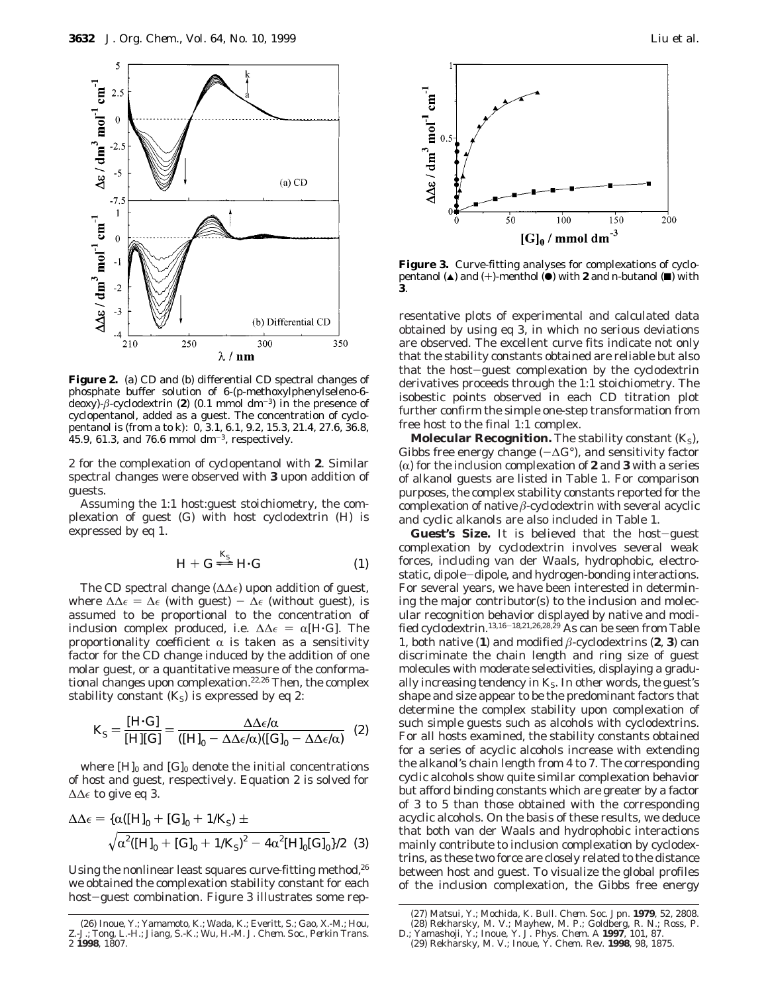

**Figure 2.** (a) CD and (b) differential CD spectral changes of phosphate buffer solution of 6-(*p*-methoxylphenylseleno-6 deoxy)- $\beta$ -cyclodextrin (2) (0.1 mmol dm<sup>-3</sup>) in the presence of cyclopentanol, added as a guest. The concentration of cyclopentanol is (from a to k): 0, 3.1, 6.1, 9.2, 15.3, 21.4, 27.6, 36.8,  $45.9, 61.3,$  and 76.6 mmol dm<sup>-3</sup>, respectively.

2 for the complexation of cyclopentanol with **2**. Similar spectral changes were observed with **3** upon addition of guests.

Assuming the 1:1 host:guest stoichiometry, the complexation of guest (G) with host cyclodextrin (H) is expressed by eq 1.

$$
H + G \stackrel{K_S}{\Longleftarrow} H \cdot G \tag{1}
$$

 $H + G \rightleftharpoons H \cdot G$  (1)<br>The CD spectral change ( $\Delta \Delta \epsilon$ ) upon addition of guest, where  $\Delta\Delta\epsilon = \Delta\epsilon$  (with guest) -  $\Delta\epsilon$  (without guest), is assumed to be proportional to the concentration of inclusion complex produced, i.e.  $\Delta\Delta \epsilon = \alpha[H\cdot G]$ . The proportionality coefficient  $\alpha$  is taken as a sensitivity factor for the CD change induced by the addition of one molar guest, or a quantitative measure of the conformational changes upon complexation.<sup>22,26</sup> Then, the complex stability constant  $(K<sub>S</sub>)$  is expressed by eq 2:

$$
K_{\rm S} = \frac{[\rm H \cdot \rm G]}{[\rm H][\rm G]} = \frac{\Delta \Delta \epsilon / \alpha}{([\rm H]_0 - \Delta \Delta \epsilon / \alpha)([\rm G]_0 - \Delta \Delta \epsilon / \alpha)} \tag{2}
$$

where  $[H]_0$  and  $[G]_0$  denote the initial concentrations of host and guest, respectively. Equation 2 is solved for ∆∆∈ to give eq 3.

$$
\Delta\Delta\epsilon = {\alpha([H]_0 + [G]_0 + 1/K_S) \pm \over \sqrt{\alpha^2([H]_0 + [G]_0 + 1/K_S)^2 - 4\alpha^2[H]_0[G]_0}}/2
$$
 (3)

Using the nonlinear least squares curve-fitting method,<sup>26</sup> we obtained the complexation stability constant for each host-guest combination. Figure 3 illustrates some rep-



**Figure 3.** Curve-fitting analyses for complexations of cyclopentanol  $(\triangle)$  and  $(+)$ -menthol  $(\triangle)$  with **2** and *n*-butanol  $(\triangle)$  with **3**.

resentative plots of experimental and calculated data obtained by using eq 3, in which no serious deviations are observed. The excellent curve fits indicate not only that the stability constants obtained are reliable but also that the host-guest complexation by the cyclodextrin derivatives proceeds through the 1:1 stoichiometry. The isobestic points observed in each CD titration plot further confirm the simple one-step transformation from free host to the final 1:1 complex.

**Molecular Recognition.** The stability constant ( $K_S$ ), Gibbs free energy change (-∆*G*°), and sensitivity factor ( $\alpha$ ) for the inclusion complexation of **2** and **3** with a series of alkanol guests are listed in Table 1. For comparison purposes, the complex stability constants reported for the complexation of native *â*-cyclodextrin with several acyclic and cyclic alkanols are also included in Table 1.

Guest's Size. It is believed that the host-guest complexation by cyclodextrin involves several weak forces, including van der Waals, hydrophobic, electrostatic, dipole-dipole, and hydrogen-bonding interactions. For several years, we have been interested in determining the major contributor(s) to the inclusion and molecular recognition behavior displayed by native and modified cyclodextrin.13,16-18,21,26,28,29 As can be seen from Table 1, both native (1) and modified  $\beta$ -cyclodextrins (2, 3) can discriminate the chain length and ring size of guest molecules with moderate selectivities, displaying a gradually increasing tendency in *K*<sub>S</sub>. In other words, the guest's shape and size appear to be the predominant factors that determine the complex stability upon complexation of such simple guests such as alcohols with cyclodextrins. For all hosts examined, the stability constants obtained for a series of acyclic alcohols increase with extending the alkanol's chain length from 4 to 7. The corresponding cyclic alcohols show quite similar complexation behavior but afford binding constants which are greater by a factor of 3 to 5 than those obtained with the corresponding acyclic alcohols. On the basis of these results, we deduce that both van der Waals and hydrophobic interactions mainly contribute to inclusion complexation by cyclodextrins, as these two force are closely related to the distance between host and guest. To visualize the global profiles of the inclusion complexation, the Gibbs free energy

<sup>(26)</sup> Inoue, Y.; Yamamoto, K.; Wada, K.; Everitt, S.; Gao, X.-M.; Hou, Z.-J.; Tong, L.-H.; Jiang, S.-K.; Wu, H.-M. *J. Chem. Soc., Perkin Trans. 2* **1998**, 1807.

<sup>(27)</sup> Matsui, Y.; Mochida, K. *Bull. Chem. Soc. Jpn.* **1979**, *52*, 2808.

<sup>(28)</sup> Rekharsky, M. V.; Mayhew, M. P.; Goldberg, R. N.; Ross, P.

D.; Yamashoji, Y.; Inoue, Y. *J. Phys. Chem. A* **1997**, *101*, 87. (29) Rekharsky, M. V.; Inoue, Y. *Chem. Rev.* **1998**, *98*, 1875.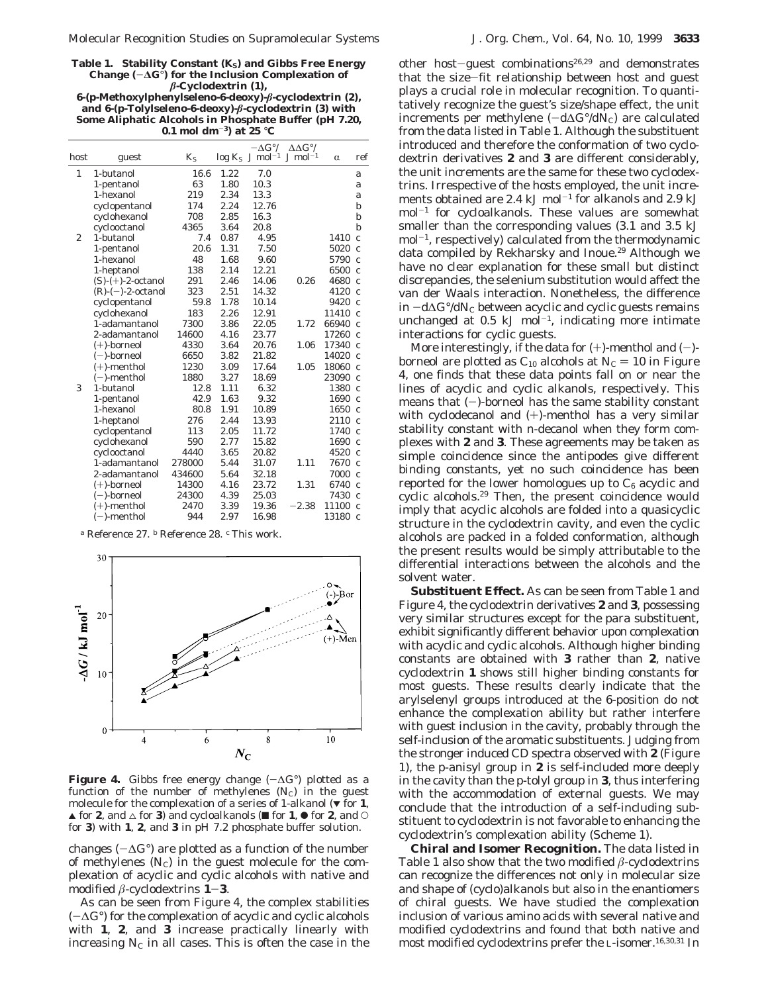Table 1. Stability Constant (*K*<sub>S</sub>) and Gibbs Free Energy Change  $(-\Delta G^{\circ})$  for the Inclusion Complexation of *â***-Cyclodextrin (1), 6-(***p***-Methoxylphenylseleno-6-deoxy)-***â***-cyclodextrin (2),**

| and 6- $(p$ -Tolylseleno-6-deoxy)- $\beta$ -cyclodextrin (3) with |  |
|-------------------------------------------------------------------|--|
| Some Aliphatic Alcohols in Phosphate Buffer (pH 7.20,             |  |
| 0.1 mol dm <sup>-3</sup> ) at 25 °C                               |  |
|                                                                   |  |

|                |                      |         |      | $-\Delta G^{\circ}/$          | $\Delta \Delta G^{\circ}$ / |                 |                   |
|----------------|----------------------|---------|------|-------------------------------|-----------------------------|-----------------|-------------------|
| host           | guest                | $K_{S}$ |      | $log K_S$ J mol <sup>-1</sup> | $J \mod 1$                  | $\alpha$        | ref               |
| 1              | 1-butanol            | 16.6    | 1.22 | 7.0                           |                             |                 | a                 |
|                | 1-pentanol           | 63      | 1.80 | 10.3                          |                             |                 | a                 |
|                | 1-hexanol            | 219     | 2.34 | 13.3                          |                             |                 | a                 |
|                | cyclopentanol        | 174     | 2.24 | 12.76                         |                             |                 | b                 |
|                | cyclohexanol         | 708     | 2.85 | 16.3                          |                             |                 | b                 |
|                | cyclooctanol         | 4365    | 3.64 | 20.8                          |                             |                 | b                 |
| $\overline{c}$ | 1-butanol            | 7.4     | 0.87 | 4.95                          |                             | 1410            | $\overline{c}$    |
|                | 1-pentanol           | 20.6    | 1.31 | 7.50                          |                             | 5020            | $\mathcal{C}_{0}$ |
|                | 1-hexanol            | 48      | 1.68 | 9.60                          |                             | 5790            | $\mathcal{C}$     |
|                | 1-heptanol           | 138     | 2.14 | 12.21                         |                             | 6500            | $\mathcal{C}_{0}$ |
|                | $(S)-(+)$ -2-octanol | 291     | 2.46 | 14.06                         | 0.26                        | 4680            | $\mathcal{C}$     |
|                | $(R)-(-)$ -2-octanol | 323     | 2.51 | 14.32                         |                             | 4120            | $\mathcal{C}_{0}$ |
|                | cyclopentanol        | 59.8    | 1.78 | 10.14                         |                             | 9420            | $\overline{c}$    |
|                | cyclohexanol         | 183     | 2.26 | 12.91                         |                             | 11410           | $\mathcal{C}$     |
|                | 1-adamantanol        | 7300    | 3.86 | 22.05                         | 1.72                        | 66940           | $\mathcal{C}$     |
|                | 2-adamantanol        | 14600   | 4.16 | 23.77                         |                             | 17260           | $\mathcal{C}$     |
|                | $(+)$ -borneol       | 4330    | 3.64 | 20.76                         | 1.06                        | 17340           | $\mathcal{C}$     |
|                | $(-)$ -borneol       | 6650    | 3.82 | 21.82                         |                             | 14020           | $\overline{c}$    |
|                | $(+)$ -menthol       | 1230    | 3.09 | 17.64                         | 1.05                        | 18060           | $\mathcal{C}$     |
|                | $(-)$ -menthol       | 1880    | 3.27 | 18.69                         |                             | 23090           | $\mathcal{C}_{0}$ |
| 3              | 1-butanol            | 12.8    | 1.11 | 6.32                          |                             | 1380            | $\epsilon$        |
|                | 1-pentanol           | 42.9    | 1.63 | 9.32                          |                             | 1690            | $\mathcal{C}$     |
|                | 1-hexanol            | 80.8    | 1.91 | 10.89                         |                             | 1650            | $\mathcal{C}$     |
|                | 1-heptanol           | 276     | 2.44 | 13.93                         |                             | 2110            | $\mathcal{C}$     |
|                | cyclopentanol        | 113     | 2.05 | 11.72                         |                             | 1740            | $\overline{c}$    |
|                | cyclohexanol         | 590     | 2.77 | 15.82                         |                             | $1690\text{ c}$ |                   |
|                | cyclooctanol         | 4440    | 3.65 | 20.82                         |                             | 4520            | $\overline{c}$    |
|                | 1-adamantanol        | 278000  | 5.44 | 31.07                         | 1.11                        | 7670            | $\epsilon$        |
|                | 2-adamantanol        | 434600  | 5.64 | 32.18                         |                             | 7000            | $\mathcal{C}_{0}$ |
|                | $(+)$ -borneol       | 14300   | 4.16 | 23.72                         | 1.31                        | 6740            | $\mathcal{C}$     |
|                | $(-)$ -borneol       | 24300   | 4.39 | 25.03                         |                             | 7430            | $\epsilon$        |
|                | $(+)$ -menthol       | 2470    | 3.39 | 19.36                         | $-2.38$                     | 11100           | $\epsilon$        |
|                | $(-)$ -menthol       | 944     | 2.97 | 16.98                         |                             | 13180           | $\mathcal{C}$     |
|                |                      |         |      |                               |                             |                 |                   |

*<sup>a</sup>* Reference 27. *<sup>b</sup>* Reference 28. *<sup>c</sup>* This work.



**Figure 4.** Gibbs free energy change  $(-\Delta G^{\circ})$  plotted as a function of the number of methylenes  $(N<sub>C</sub>)$  in the guest molecule for the complexation of a series of 1-alkanol  $(\nabla)$  for **1**,  $\blacktriangle$  for **2**, and  $\triangle$  for **3**) and cycloalkanols ( $\blacktriangle$  for **1**,  $\blacklozenge$  for **2**, and  $\heartsuit$ for **3**) with **1**, **2**, and **3** in pH 7.2 phosphate buffer solution.

changes ( $-\Delta G$ °) are plotted as a function of the number of methylenes  $(N_c)$  in the guest molecule for the complexation of acyclic and cyclic alcohols with native and modified  $\beta$ -cyclodextrins **1–3**.

As can be seen from Figure 4, the complex stabilities (-∆*G*°) for the complexation of acyclic and cyclic alcohols with **1**, **2**, and **3** increase practically linearly with increasing  $N<sub>C</sub>$  in all cases. This is often the case in the other host-guest combinations<sup>26,29</sup> and demonstrates that the size-fit relationship between host and guest plays a crucial role in molecular recognition. To quantitatively recognize the guest's size/shape effect, the unit increments per methylene  $(-d\Delta G^{\circ}/dN_c)$  are calculated from the data listed in Table 1. Although the substituent introduced and therefore the conformation of two cyclodextrin derivatives **2** and **3** are different considerably, the unit increments are the same for these two cyclodextrins. Irrespective of the hosts employed, the unit increments obtained are 2.4 kJ mol<sup>-1</sup> for alkanols and 2.9 kJ mol-<sup>1</sup> for cycloalkanols. These values are somewhat smaller than the corresponding values (3.1 and 3.5 kJ mol-1, respectively) calculated from the thermodynamic data compiled by Rekharsky and Inoue.<sup>29</sup> Although we have no clear explanation for these small but distinct discrepancies, the selenium substitution would affect the van der Waals interaction. Nonetheless, the difference in -d∆*G*°/d*N*<sup>C</sup> between acyclic and cyclic guests remains unchanged at  $0.5$  kJ mol<sup>-1</sup>, indicating more intimate interactions for cyclic guests.

More interestingly, if the data for  $(+)$ -menthol and  $(-)$ borneol are plotted as  $C_{10}$  alcohols at  $N_c = 10$  in Figure 4, one finds that these data points fall on or near the lines of acyclic and cyclic alkanols, respectively. This means that  $(-)$ -borneol has the same stability constant with cyclodecanol and (+)-menthol has a very similar stability constant with *n*-decanol when they form complexes with **2** and **3**. These agreements may be taken as simple coincidence since the antipodes give different binding constants, yet no such coincidence has been reported for the lower homologues up to  $C_6$  acyclic and cyclic alcohols.29 Then, the present coincidence would imply that acyclic alcohols are folded into a quasicyclic structure in the cyclodextrin cavity, and even the cyclic alcohols are packed in a folded conformation, although the present results would be simply attributable to the differential interactions between the alcohols and the solvent water.

**Substituent Effect.** As can be seen from Table 1 and Figure 4, the cyclodextrin derivatives **2** and **3**, possessing very similar structures except for the *para* substituent, exhibit significantly different behavior upon complexation with acyclic and cyclic alcohols. Although higher binding constants are obtained with **3** rather than **2**, native cyclodextrin **1** shows still higher binding constants for most guests. These results clearly indicate that the arylselenyl groups introduced at the 6-position do not enhance the complexation ability but rather interfere with guest inclusion in the cavity, probably through the self-inclusion of the aromatic substituents. Judging from the stronger induced CD spectra observed with **2** (Figure 1), the *p*-anisyl group in **2** is self-included more deeply in the cavity than the *p*-tolyl group in **3**, thus interfering with the accommodation of external guests. We may conclude that the introduction of a self-including substituent to cyclodextrin is not favorable to enhancing the cyclodextrin's complexation ability (Scheme 1).

**Chiral and Isomer Recognition.** The data listed in Table 1 also show that the two modified *â*-cyclodextrins can recognize the differences not only in molecular size and shape of (cyclo)alkanols but also in the enantiomers of chiral guests. We have studied the complexation inclusion of various amino acids with several native and modified cyclodextrins and found that both native and most modified cyclodextrins prefer the L-isomer.16,30,31 In